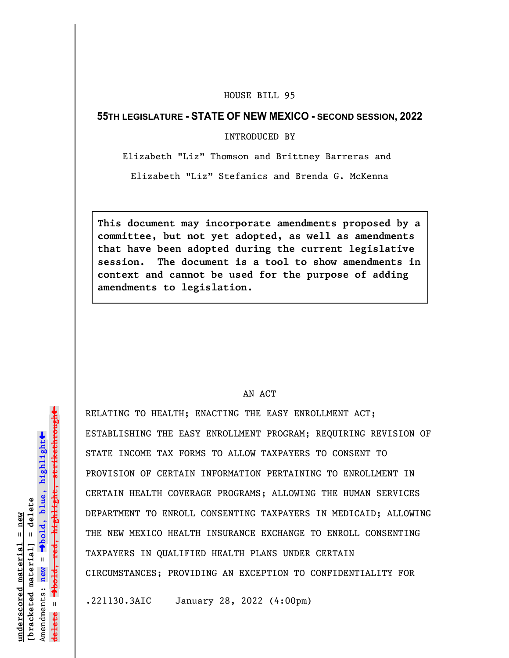## HOUSE BILL 95

## **55TH LEGISLATURE - STATE OF NEW MEXICO - SECOND SESSION, 2022**

INTRODUCED BY

Elizabeth "Liz" Thomson and Brittney Barreras and

Elizabeth "Liz" Stefanics and Brenda G. McKenna

**This document may incorporate amendments proposed by a committee, but not yet adopted, as well as amendments that have been adopted during the current legislative session. The document is a tool to show amendments in context and cannot be used for the purpose of adding amendments to legislation.**

## AN ACT

RELATING TO HEALTH; ENACTING THE EASY ENROLLMENT ACT; ESTABLISHING THE EASY ENROLLMENT PROGRAM; REQUIRING REVISION OF STATE INCOME TAX FORMS TO ALLOW TAXPAYERS TO CONSENT TO PROVISION OF CERTAIN INFORMATION PERTAINING TO ENROLLMENT IN CERTAIN HEALTH COVERAGE PROGRAMS; ALLOWING THE HUMAN SERVICES DEPARTMENT TO ENROLL CONSENTING TAXPAYERS IN MEDICAID; ALLOWING THE NEW MEXICO HEALTH INSURANCE EXCHANGE TO ENROLL CONSENTING TAXPAYERS IN QUALIFIED HEALTH PLANS UNDER CERTAIN CIRCUMSTANCES; PROVIDING AN EXCEPTION TO CONFIDENTIALITY FOR

.221130.3AIC January 28, 2022 (4:00pm)

 $\ddag$ º**bold, red, highlight, strikethrough**  $\ddot{\bullet}$ º**bold, blue, highlight**  $b$ racketed material] = delete **[bracketed material] = delete** inderscored material = new **underscored material = new** Amendments: **new** =  $\mathbf{u}$ **delete =** lelete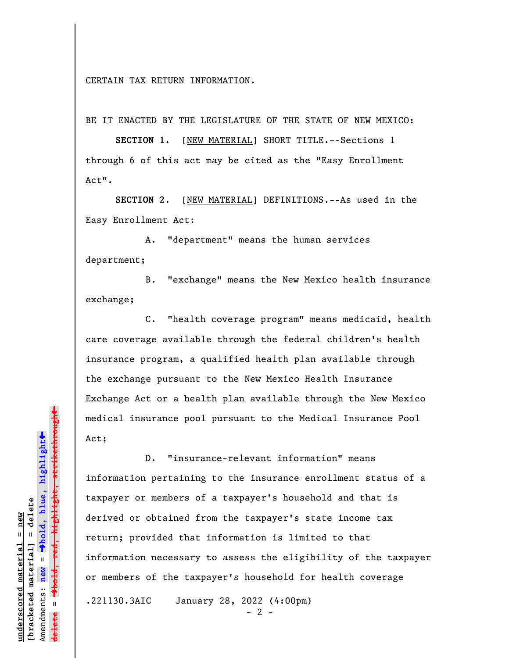CERTAIN TAX RETURN INFORMATION.

BE IT ENACTED BY THE LEGISLATURE OF THE STATE OF NEW MEXICO:

**SECTION 1.** [NEW MATERIAL] SHORT TITLE.--Sections 1 through 6 of this act may be cited as the "Easy Enrollment Act".

**SECTION 2.** [NEW MATERIAL] DEFINITIONS.--As used in the Easy Enrollment Act:

A. "department" means the human services department;

B. "exchange" means the New Mexico health insurance exchange;

C. "health coverage program" means medicaid, health care coverage available through the federal children's health insurance program, a qualified health plan available through the exchange pursuant to the New Mexico Health Insurance Exchange Act or a health plan available through the New Mexico medical insurance pool pursuant to the Medical Insurance Pool Act;

D. "insurance-relevant information" means information pertaining to the insurance enrollment status of a taxpayer or members of a taxpayer's household and that is derived or obtained from the taxpayer's state income tax return; provided that information is limited to that information necessary to assess the eligibility of the taxpayer or members of the taxpayer's household for health coverage .221130.3AIC January 28, 2022 (4:00pm)

 $- 2 -$ 

º**bold, red, highlight, strikethrough**  $\ddot{\bullet}$ º**bold, blue, highlight** bracketed material] = delete **[bracketed material] = delete** inderscored material = new **underscored material = new** Amendments: **new** =  $\mathbf{I}$ Amendments: new **delete =**

 $\ddag$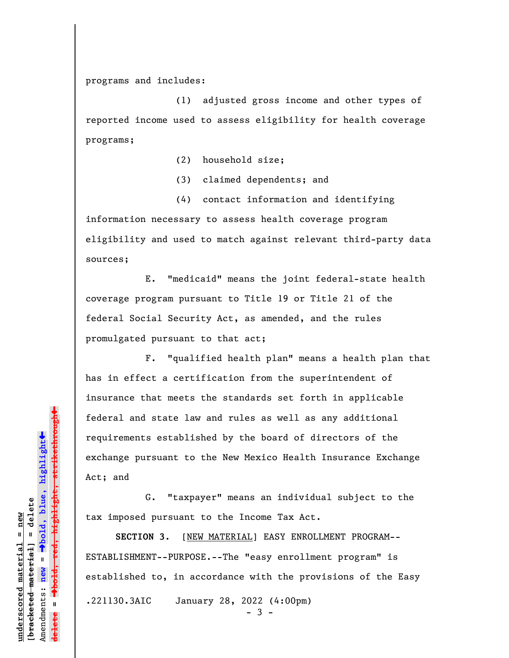programs and includes:

(1) adjusted gross income and other types of reported income used to assess eligibility for health coverage programs;

(2) household size;

(3) claimed dependents; and

(4) contact information and identifying information necessary to assess health coverage program eligibility and used to match against relevant third-party data sources;

E. "medicaid" means the joint federal-state health coverage program pursuant to Title 19 or Title 21 of the federal Social Security Act, as amended, and the rules promulgated pursuant to that act;

F. "qualified health plan" means a health plan that has in effect a certification from the superintendent of insurance that meets the standards set forth in applicable federal and state law and rules as well as any additional requirements established by the board of directors of the exchange pursuant to the New Mexico Health Insurance Exchange Act; and

G. "taxpayer" means an individual subject to the tax imposed pursuant to the Income Tax Act.

**SECTION 3**. [NEW MATERIAL] EASY ENROLLMENT PROGRAM-- ESTABLISHMENT--PURPOSE.--The "easy enrollment program" is established to, in accordance with the provisions of the Easy .221130.3AIC January 28, 2022 (4:00pm)

- 3 -

 $\ddag$ º**bold, red, highlight, strikethrough**  $\ddot{\bullet}$ º**bold, blue, highlight** bracketed material] = delete **[bracketed material] = delete** inderscored material = new **underscored material = new** Amendments: **new** =  $\mathbf{I}$ Amendments: new **delete =**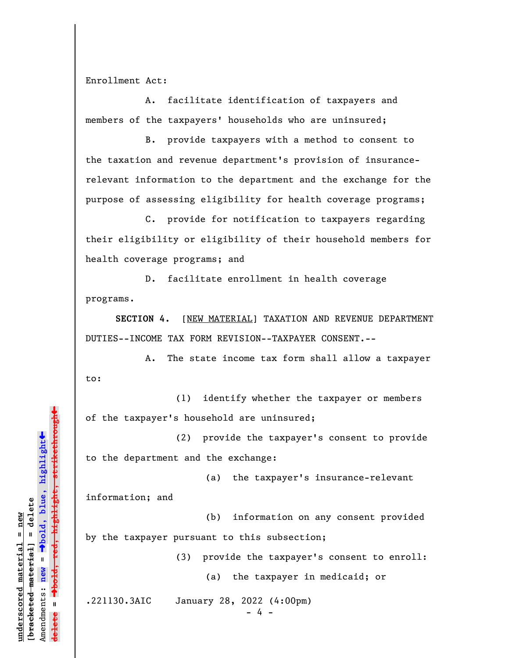Enrollment Act:

A. facilitate identification of taxpayers and members of the taxpayers' households who are uninsured;

B. provide taxpayers with a method to consent to the taxation and revenue department's provision of insurancerelevant information to the department and the exchange for the purpose of assessing eligibility for health coverage programs;

C. provide for notification to taxpayers regarding their eligibility or eligibility of their household members for health coverage programs; and

D. facilitate enrollment in health coverage programs.

**SECTION 4.** [NEW MATERIAL] TAXATION AND REVENUE DEPARTMENT DUTIES--INCOME TAX FORM REVISION--TAXPAYER CONSENT.--

A. The state income tax form shall allow a taxpayer to:

(1) identify whether the taxpayer or members of the taxpayer's household are uninsured;

(2) provide the taxpayer's consent to provide to the department and the exchange:

(a) the taxpayer's insurance-relevant

information; and

(b) information on any consent provided by the taxpayer pursuant to this subsection;

(3) provide the taxpayer's consent to enroll:

(a) the taxpayer in medicaid; or

.221130.3AIC January 28, 2022 (4:00pm)

 $- 4 -$ 

º**bold, red, highlight, strikethrough** highlight, strikethrough  $\ddot{\bullet}$ º**bold, blue, highlight** bracketed material] = delete **[bracketed material] = delete** inderscored material = new **underscored material = new** Amendments: **new** =  $\mathbf{u}$ Amendments: new **delete =**

»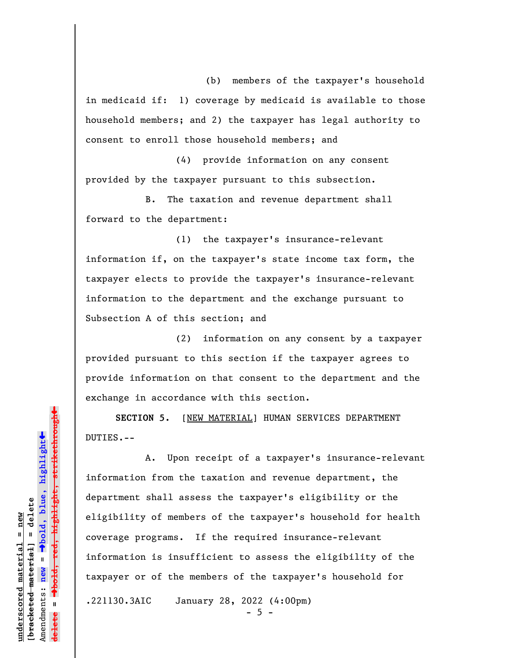(b) members of the taxpayer's household in medicaid if: 1) coverage by medicaid is available to those household members; and 2) the taxpayer has legal authority to consent to enroll those household members; and

(4) provide information on any consent provided by the taxpayer pursuant to this subsection.

B. The taxation and revenue department shall forward to the department:

(1) the taxpayer's insurance-relevant information if, on the taxpayer's state income tax form, the taxpayer elects to provide the taxpayer's insurance-relevant information to the department and the exchange pursuant to Subsection A of this section; and

(2) information on any consent by a taxpayer provided pursuant to this section if the taxpayer agrees to provide information on that consent to the department and the exchange in accordance with this section.

**SECTION 5.** [NEW MATERIAL] HUMAN SERVICES DEPARTMENT DUTIES.--

A. Upon receipt of a taxpayer's insurance-relevant information from the taxation and revenue department, the department shall assess the taxpayer's eligibility or the eligibility of members of the taxpayer's household for health coverage programs. If the required insurance-relevant information is insufficient to assess the eligibility of the taxpayer or of the members of the taxpayer's household for .221130.3AIC January 28, 2022 (4:00pm)  $- 5 -$ 

**underscored material = new [bracketed material] = delete**

bracketed material] = delete inderscored material = new

Amendments: **new** =

Amendments: new

 $\mathbf{u}$ 

**delete =**

º**bold, blue, highlight**

º**bold, red, highlight, strikethrough**

 $\ddot{\bullet}$ 

 $\ddag$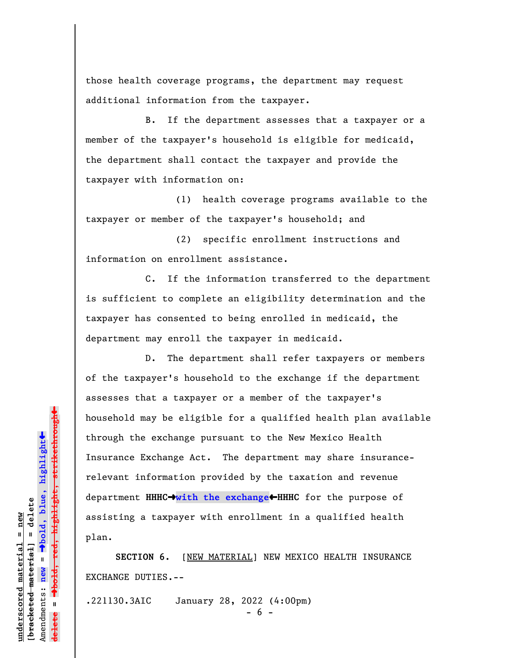those health coverage programs, the department may request additional information from the taxpayer.

B. If the department assesses that a taxpayer or a member of the taxpayer's household is eligible for medicaid, the department shall contact the taxpayer and provide the taxpayer with information on:

(1) health coverage programs available to the taxpayer or member of the taxpayer's household; and

(2) specific enrollment instructions and information on enrollment assistance.

C. If the information transferred to the department is sufficient to complete an eligibility determination and the taxpayer has consented to being enrolled in medicaid, the department may enroll the taxpayer in medicaid.

D. The department shall refer taxpayers or members of the taxpayer's household to the exchange if the department assesses that a taxpayer or a member of the taxpayer's household may be eligible for a qualified health plan available through the exchange pursuant to the New Mexico Health Insurance Exchange Act. The department may share insurancerelevant information provided by the taxation and revenue department **HHHC**º**with the exchange**»**HHHC** for the purpose of assisting a taxpayer with enrollment in a qualified health plan.

SECTION 6. [NEW MATERIAL] NEW MEXICO HEALTH INSURANCE EXCHANGE DUTIES.--

.221130.3AIC January 28, 2022 (4:00pm)

- 6 -

 $\ddag$ º**bold, red, highlight, strikethrough**  $\ddot{\bullet}$ º**bold, blue, highlight** bracketed material] = delete **[bracketed material] = delete** inderscored material = new **underscored material = new** Amendments: **new** =  $\bar{\mathbf{u}}$ Amendments: new  $\mathbf{u}$ **delete =**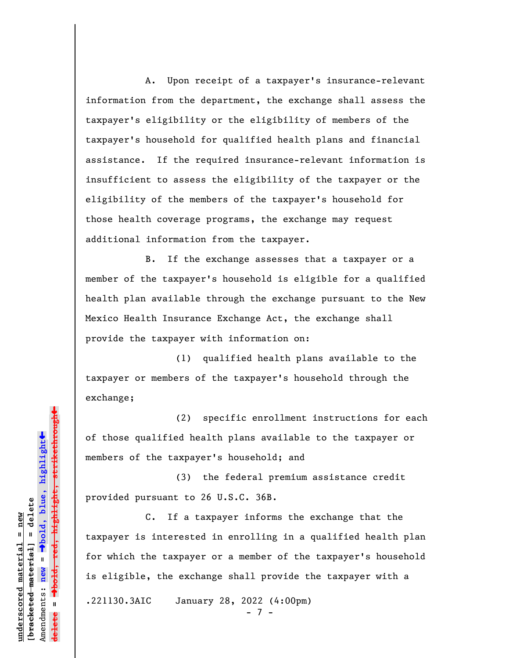A. Upon receipt of a taxpayer's insurance-relevant information from the department, the exchange shall assess the taxpayer's eligibility or the eligibility of members of the taxpayer's household for qualified health plans and financial assistance. If the required insurance-relevant information is insufficient to assess the eligibility of the taxpayer or the eligibility of the members of the taxpayer's household for those health coverage programs, the exchange may request additional information from the taxpayer.

B. If the exchange assesses that a taxpayer or a member of the taxpayer's household is eligible for a qualified health plan available through the exchange pursuant to the New Mexico Health Insurance Exchange Act, the exchange shall provide the taxpayer with information on:

(1) qualified health plans available to the taxpayer or members of the taxpayer's household through the exchange;

(2) specific enrollment instructions for each of those qualified health plans available to the taxpayer or members of the taxpayer's household; and

(3) the federal premium assistance credit provided pursuant to 26 U.S.C. 36B.

C. If a taxpayer informs the exchange that the taxpayer is interested in enrolling in a qualified health plan for which the taxpayer or a member of the taxpayer's household is eligible, the exchange shall provide the taxpayer with a .221130.3AIC January 28, 2022 (4:00pm) - 7 -

º**bold, red, highlight, strikethrough**  $\ddot{\bullet}$ º**bold, blue, highlight** bracketed material] = delete **[bracketed material] = delete** inderscored material = new **underscored material = new** Amendments: **new** =  $\bar{\mathbf{u}}$ Amendments: new  $\mathbf{u}$ **delete =** lelete

 $\ddag$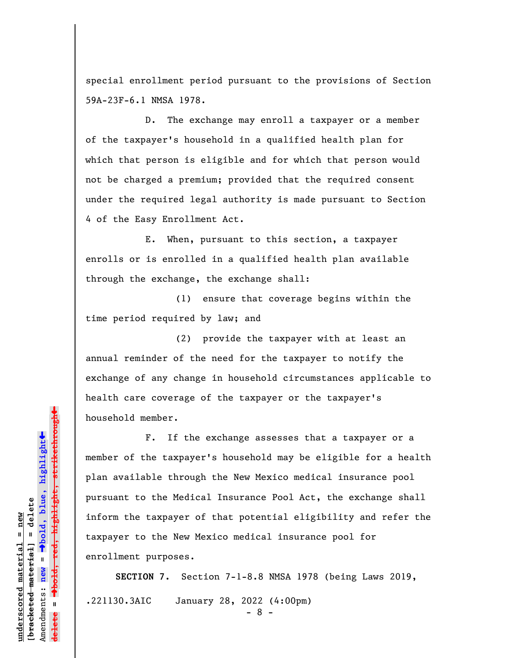special enrollment period pursuant to the provisions of Section 59A-23F-6.1 NMSA 1978.

D. The exchange may enroll a taxpayer or a member of the taxpayer's household in a qualified health plan for which that person is eligible and for which that person would not be charged a premium; provided that the required consent under the required legal authority is made pursuant to Section 4 of the Easy Enrollment Act.

E. When, pursuant to this section, a taxpayer enrolls or is enrolled in a qualified health plan available through the exchange, the exchange shall:

(1) ensure that coverage begins within the time period required by law; and

(2) provide the taxpayer with at least an annual reminder of the need for the taxpayer to notify the exchange of any change in household circumstances applicable to health care coverage of the taxpayer or the taxpayer's household member.

F. If the exchange assesses that a taxpayer or a member of the taxpayer's household may be eligible for a health plan available through the New Mexico medical insurance pool pursuant to the Medical Insurance Pool Act, the exchange shall inform the taxpayer of that potential eligibility and refer the taxpayer to the New Mexico medical insurance pool for enrollment purposes.

**SECTION 7.** Section 7-1-8.8 NMSA 1978 (being Laws 2019, .221130.3AIC January 28, 2022 (4:00pm)

- 8 -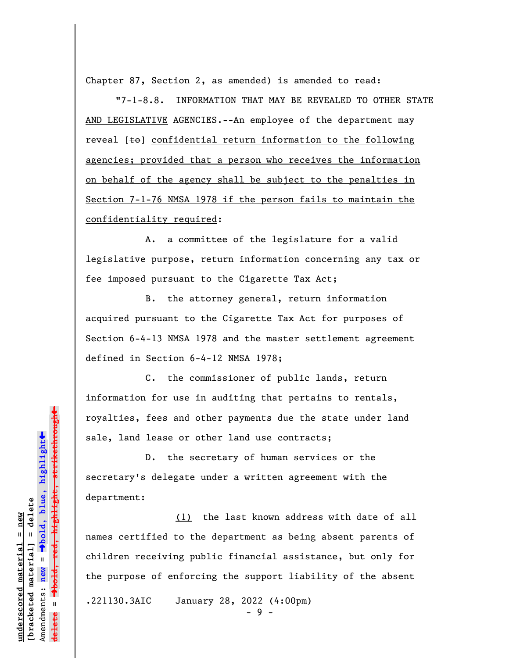Chapter 87, Section 2, as amended) is amended to read:

"7-1-8.8. INFORMATION THAT MAY BE REVEALED TO OTHER STATE AND LEGISLATIVE AGENCIES.--An employee of the department may reveal  $[t\Theta]$  confidential return information to the following agencies; provided that a person who receives the information on behalf of the agency shall be subject to the penalties in Section 7-1-76 NMSA 1978 if the person fails to maintain the confidentiality required:

A. a committee of the legislature for a valid legislative purpose, return information concerning any tax or fee imposed pursuant to the Cigarette Tax Act;

B. the attorney general, return information acquired pursuant to the Cigarette Tax Act for purposes of Section 6-4-13 NMSA 1978 and the master settlement agreement defined in Section 6-4-12 NMSA 1978;

C. the commissioner of public lands, return information for use in auditing that pertains to rentals, royalties, fees and other payments due the state under land sale, land lease or other land use contracts;

D. the secretary of human services or the secretary's delegate under a written agreement with the department:

(1) the last known address with date of all names certified to the department as being absent parents of children receiving public financial assistance, but only for the purpose of enforcing the support liability of the absent .221130.3AIC January 28, 2022 (4:00pm)

**underscored material = new [bracketed material] = delete**

bracketed material] = delete inderscored material = new

Amendments: **new** =

Amendments: new

 $\bar{\mathbf{u}}$ 

**delete =**

º**bold, blue, highlight**

º**bold, red, highlight, strikethrough**

red<del>, highlight, strikethrough</del>

 $\ddot{\bullet}$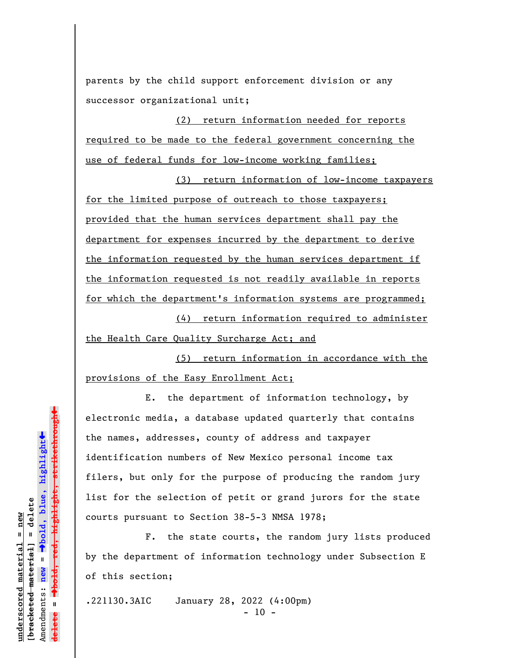parents by the child support enforcement division or any successor organizational unit;

(2) return information needed for reports required to be made to the federal government concerning the use of federal funds for low-income working families;

(3) return information of low-income taxpayers for the limited purpose of outreach to those taxpayers; provided that the human services department shall pay the department for expenses incurred by the department to derive the information requested by the human services department if the information requested is not readily available in reports for which the department's information systems are programmed;

(4) return information required to administer the Health Care Quality Surcharge Act; and

(5) return information in accordance with the provisions of the Easy Enrollment Act;

E. the department of information technology, by electronic media, a database updated quarterly that contains the names, addresses, county of address and taxpayer identification numbers of New Mexico personal income tax filers, but only for the purpose of producing the random jury list for the selection of petit or grand jurors for the state courts pursuant to Section 38-5-3 NMSA 1978;

F. the state courts, the random jury lists produced by the department of information technology under Subsection E of this section;

.221130.3AIC January 28, 2022 (4:00pm)

 $- 10 -$ 

 $\ddag$ º**bold, red, highlight, strikethrough**  $\ddot{\bullet}$ º**bold, blue, highlight** bracketed material] = delete **[bracketed material] = delete** inderscored material = new **underscored material = new** Amendments: **new** = Amendments: new = **delete =** lelete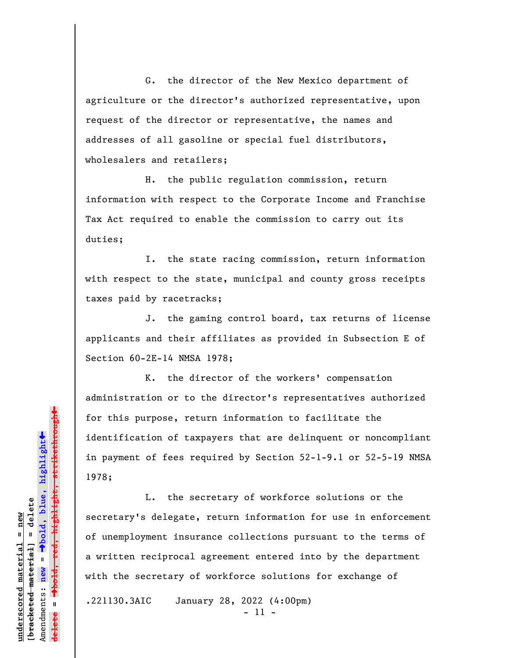G. the director of the New Mexico department of agriculture or the director's authorized representative, upon request of the director or representative, the names and addresses of all gasoline or special fuel distributors, wholesalers and retailers;

H. the public regulation commission, return information with respect to the Corporate Income and Franchise Tax Act required to enable the commission to carry out its duties;

I. the state racing commission, return information with respect to the state, municipal and county gross receipts taxes paid by racetracks;

J. the gaming control board, tax returns of license applicants and their affiliates as provided in Subsection E of Section 60-2E-14 NMSA 1978;

K. the director of the workers' compensation administration or to the director's representatives authorized for this purpose, return information to facilitate the identification of taxpayers that are delinquent or noncompliant in payment of fees required by Section 52-1-9.1 or 52-5-19 NMSA 1978;

L. the secretary of workforce solutions or the secretary's delegate, return information for use in enforcement of unemployment insurance collections pursuant to the terms of a written reciprocal agreement entered into by the department with the secretary of workforce solutions for exchange of .221130.3AIC January 28, 2022 (4:00pm)

- 11 -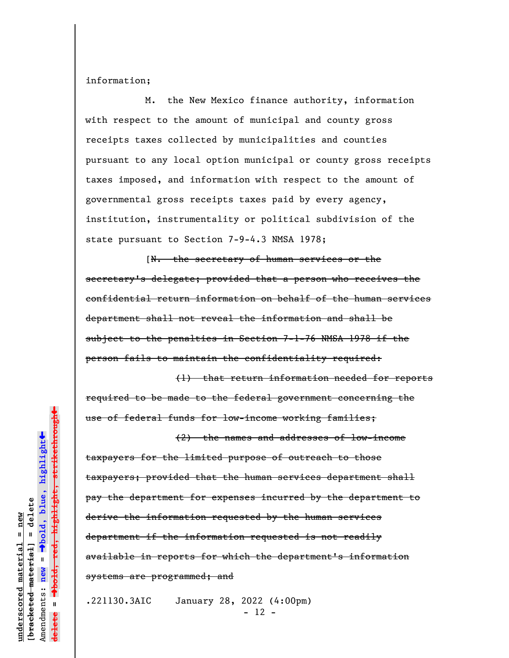information;

M. the New Mexico finance authority, information with respect to the amount of municipal and county gross receipts taxes collected by municipalities and counties pursuant to any local option municipal or county gross receipts taxes imposed, and information with respect to the amount of governmental gross receipts taxes paid by every agency, institution, instrumentality or political subdivision of the state pursuant to Section 7-9-4.3 NMSA 1978;

[N. the secretary of human services or the secretary's delegate; provided that a person who receives the confidential return information on behalf of the human services department shall not reveal the information and shall be subject to the penalties in Section 7-1-76 NMSA 1978 if the person fails to maintain the confidentiality required:

(1) that return information needed for reports required to be made to the federal government concerning the use of federal funds for low-income working families;

(2) the names and addresses of low-income taxpayers for the limited purpose of outreach to those taxpayers; provided that the human services department shall pay the department for expenses incurred by the department to derive the information requested by the human services department if the information requested is not readily available in reports for which the department's information systems are programmed; and

.221130.3AIC January 28, 2022 (4:00pm)  $- 12 -$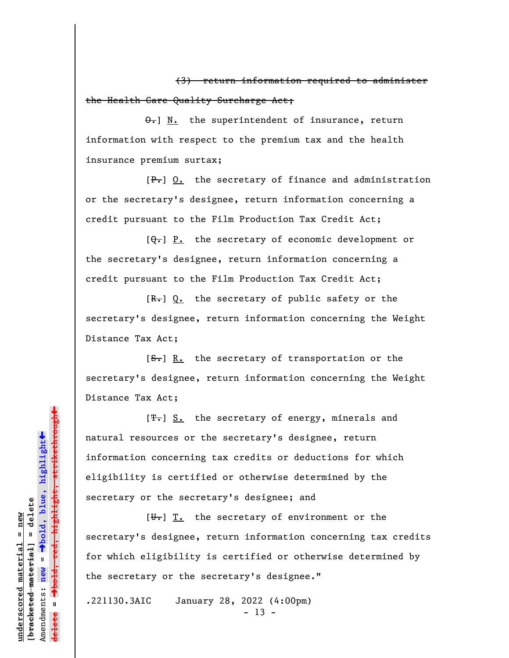(3) return information required to administer the Health Care Quality Surcharge Act;

 $\Theta$ .] N. the superintendent of insurance, return information with respect to the premium tax and the health insurance premium surtax;

 $[F_{\bullet}]$  O. the secretary of finance and administration or the secretary's designee, return information concerning a credit pursuant to the Film Production Tax Credit Act;

 $[\theta_{\tau}]$  P. the secretary of economic development or the secretary's designee, return information concerning a credit pursuant to the Film Production Tax Credit Act;

 $[R-]$  Q. the secretary of public safety or the secretary's designee, return information concerning the Weight Distance Tax Act;

 $[**S**$ . In the secretary of transportation or the secretary's designee, return information concerning the Weight Distance Tax Act;

 $[T<sub>1</sub>]$  S. the secretary of energy, minerals and natural resources or the secretary's designee, return information concerning tax credits or deductions for which eligibility is certified or otherwise determined by the secretary or the secretary's designee; and

 $[\overline{\mathbf{u}}_t]$  T. the secretary of environment or the secretary's designee, return information concerning tax credits for which eligibility is certified or otherwise determined by the secretary or the secretary's designee."

.221130.3AIC January 28, 2022 (4:00pm)  $- 13 -$ 

highlight, strikethrough º**bold, red, highlight, strikethrough**  $\ddot{\bullet}$ º**bold, blue, highlight** bracketed material] = delete **[bracketed material] = delete** inderscored material = new **underscored material = new** Amendments: **new** =  $\mathbf{I}$ Amendments: new **delete =**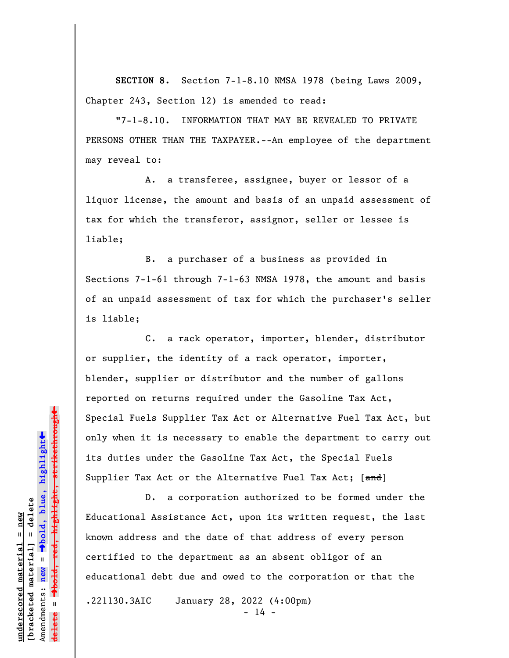**SECTION 8.** Section 7-1-8.10 NMSA 1978 (being Laws 2009, Chapter 243, Section 12) is amended to read:

"7-1-8.10. INFORMATION THAT MAY BE REVEALED TO PRIVATE PERSONS OTHER THAN THE TAXPAYER.--An employee of the department may reveal to:

A. a transferee, assignee, buyer or lessor of a liquor license, the amount and basis of an unpaid assessment of tax for which the transferor, assignor, seller or lessee is liable;

B. a purchaser of a business as provided in Sections 7-1-61 through 7-1-63 NMSA 1978, the amount and basis of an unpaid assessment of tax for which the purchaser's seller is liable;

C. a rack operator, importer, blender, distributor or supplier, the identity of a rack operator, importer, blender, supplier or distributor and the number of gallons reported on returns required under the Gasoline Tax Act, Special Fuels Supplier Tax Act or Alternative Fuel Tax Act, but only when it is necessary to enable the department to carry out its duties under the Gasoline Tax Act, the Special Fuels Supplier Tax Act or the Alternative Fuel Tax Act; [and]

D. a corporation authorized to be formed under the Educational Assistance Act, upon its written request, the last known address and the date of that address of every person certified to the department as an absent obligor of an educational debt due and owed to the corporation or that the .221130.3AIC January 28, 2022 (4:00pm)

 $- 14 -$